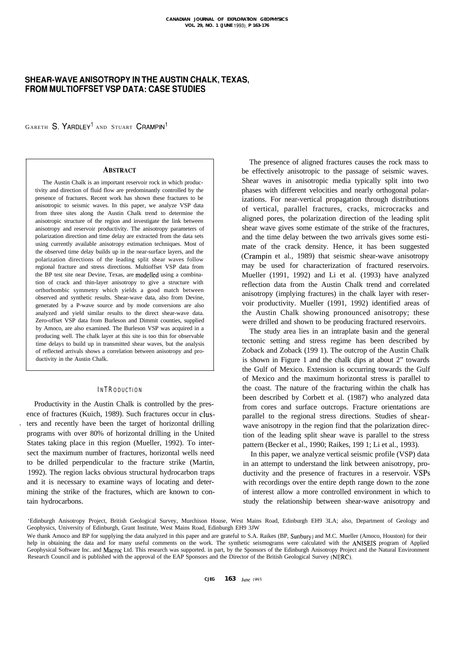# **SHEAR-WAVE ANISOTROPY IN THE AUSTIN CHALK, TEXAS, FROM MULTIOFFSET VSP DATA: CASE STUDIES**

GARETH **S.** YARDLEY' AND STUART CRAMPIN'

# **ABSTRACT**

The Austin Chalk is an important reservoir rock in which productivity and direction of fluid flow are predominantly controlled by the presence of fractures. Recent work has shown these fractures to be anisotropic to seismic waves. In this paper, we analyze VSP data from three sites along the Austin Chalk trend to determine the anisotropic structure of the region and investigate the link between anisotropy and reservoir productivity. The anisotropy parameters of polarization direction and time delay are extracted from the data sets using currently available anisotropy estimation techniques. Most of the observed time delay builds up in the near-surface layers, and the polarization directions of the leading split shear waves follow regional fracture and stress directions. Multioffset VSP data from the BP test site near Devine, Texas, are modelled using a combination of crack and thin-layer anisotropy to give a structure with orthorhombic symmetry which yields a good match between observed and synthetic results. Shear-wave data, also from Devine, generated by a P-wave source and by mode conversions are also analyzed and yield similar results to the direct shear-wave data. Zero-offset VSP data from Burleson and Dimmit counties, supplied by Amoco, are also examined. The Burleson VSP was acquired in a producing well. The chalk layer at this site is too thin for observable time delays to build up in transmitted shear waves, but the analysis of reflected arrivals shows a correlation between anisotropy and productivity in the Austin Chalk.

## **INTRODUCTION**

Productivity in the Austin Chalk is controlled by the presence of fractures (Kuich, 1989). Such fractures occur in clus- . ters and recently have been the target of horizontal drilling programs with over 80% of horizontal drilling in the United States taking place in this region (Mueller, 1992). To intersect the maximum number of fractures, horizontal wells need to be drilled perpendicular to the fracture strike (Martin, 1992). The region lacks obvious structural hydrocarbon traps and it is necessary to examine ways of locating and determining the strike of the fractures, which are known to contain hydrocarbons.

The presence of aligned fractures causes the rock mass to be effectively anisotropic to the passage of seismic waves. Shear waves in anisotropic media typically split into two phases with different velocities and nearly orthogonal polarizations. For near-vertical propagation through distributions of vertical, parallel fractures, cracks, microcracks and aligned pores, the polarization direction of the leading split shear wave gives some estimate of the strike of the fractures, and the time delay between the two arrivals gives some estimate of the crack density. Hence, it has been suggested (Crampin et al., 1989) that seismic shear-wave anisotropy may be used for characterization of fractured reservoirs. Mueller (1991, 1992) and Li et al. (1993) have analyzed reflection data from the Austin Chalk trend and correlated anisotropy (implying fractures) in the chalk layer with reservoir productivity. Mueller (1991, 1992) identified areas of the Austin Chalk showing pronounced anisotropy; these were drilled and shown to be producing fractured reservoirs.

The study area lies in an intraplate basin and the general tectonic setting and stress regime has been described by Zoback and Zoback (199 1). The outcrop of the Austin Chalk is shown in Figure 1 and the chalk dips at about 2" towards the Gulf of Mexico. Extension is occurring towards the Gulf of Mexico and the maximum horizontal stress is parallel to the coast. The nature of the fracturing within the chalk has been described by Corbett et al. (1987) who analyzed data from cores and surface outcrops. Fracture orientations are parallel to the regional stress directions. Studies of shearwave anisotropy in the region find that the polarization direction of the leading split shear wave is parallel to the stress pattern (Becker et al., 1990; Raikes, 199 1; Li et al., 1993).

In this paper, we analyze vertical seismic profile (VSP) data in an attempt to understand the link between anisotropy, productivity and the presence of fractures in a reservoir. VSPs with recordings over the entire depth range down to the zone of interest allow a more controlled environment in which to study the relationship between shear-wave anisotropy and

'Edinburgh Anisotropy Project, British Geological Survey, Murchison House, West Mains Road, Edinburgh EH9 3LA; also, Department of Geology and Geophysics, University of Edinburgh, Grant Institute, West Mains Road, Edinburgh EH9 3JW

We thank Amoco and BP for supplying the data analyzed in this paper and are grateful to S.A. Raikes (BP, Sunbury) and M.C. Mueller (Amoco, Houston) for their help in obtaining the data and for many useful comments on the work. The synthetic seismograms were calculated with the ANISEIS program of Applied Geophysical Software Inc. and Macroc Ltd. This research was supported. in part, by the Sponsors of the Edinburgh Anisotropy Project and the Natural Environment Research Council and is published with the approval of the EAP Sponsors and the Director of the British Geological Survey (NERC).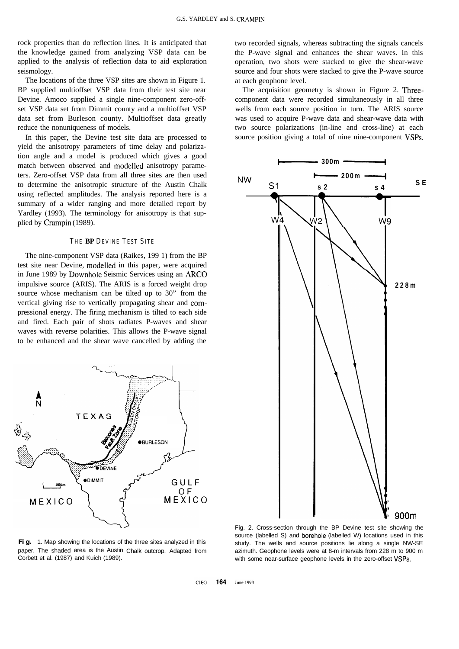rock properties than do reflection lines. It is anticipated that the knowledge gained from analyzing VSP data can be applied to the analysis of reflection data to aid exploration seismology.

The locations of the three VSP sites are shown in Figure 1. BP supplied multioffset VSP data from their test site near Devine. Amoco supplied a single nine-component zero-offset VSP data set from Dimmit county and a multioffset VSP data set from Burleson county. Multioffset data greatly reduce the nonuniqueness of models.

In this paper, the Devine test site data are processed to yield the anisotropy parameters of time delay and polarization angle and a model is produced which gives a good match between observed and modelled anisotropy parameters. Zero-offset VSP data from all three sites are then used to determine the anisotropic structure of the Austin Chalk using reflected amplitudes. The analysis reported here is a summary of a wider ranging and more detailed report by Yardley (1993). The terminology for anisotropy is that supplied by Crampin (1989).

#### **THE BP DEVINE TEST SITE**

The nine-component VSP data (Raikes, 199 1) from the BP test site near Devine, modelled in this paper, were acquired in June 1989 by Downhole Seismic Services using an ARC0 impulsive source (ARIS). The ARIS is a forced weight drop source whose mechanism can be tilted up to 30" from the vertical giving rise to vertically propagating shear and compressional energy. The firing mechanism is tilted to each side and fired. Each pair of shots radiates P-waves and shear waves with reverse polarities. This allows the P-wave signal to be enhanced and the shear wave cancelled by adding the



two recorded signals, whereas subtracting the signals cancels the P-wave signal and enhances the shear waves. In this operation, two shots were stacked to give the shear-wave source and four shots were stacked to give the P-wave source at each geophone level.

The acquisition geometry is shown in Figure 2. Threecomponent data were recorded simultaneously in all three wells from each source position in turn. The ARIS source was used to acquire P-wave data and shear-wave data with two source polarizations (in-line and cross-line) at each source position giving a total of nine nine-component VSPs. **I- 300m r-1**



Fig. 1. Map showing the locations of the three sites analyzed in this paper. The shaded area is the Austin Chalk outcrop. Adapted from Corbett et al. (1987) and Kuich (1989).

Fig. 2. Cross-section through the BP Devine test site showing the source (labelled S) and borehole (labelled W) locations used in this study. The wells and source positions lie along a single NW-SE azimuth. Geophone levels were at 8-m intervals from 228 m to 900 m with some near-surface geophone levels in the zero-offset VSPs.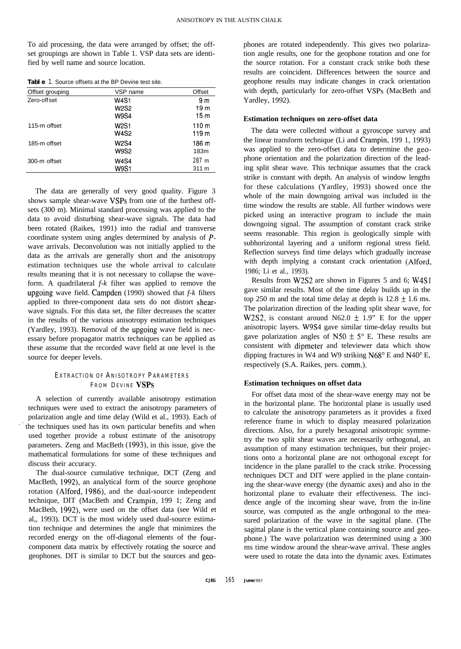To aid processing, the data were arranged by offset; the offset groupings are shown in Table 1. VSP data sets are identified by well name and source location.

| Table 1. Source offsets at the BP Devine test site. |
|-----------------------------------------------------|
|-----------------------------------------------------|

| Offset grouping | VSP name    | Offset           |
|-----------------|-------------|------------------|
| Zero-off set    | <b>W4S1</b> | 9 <sub>m</sub>   |
|                 | W2S2        | 19 m             |
|                 | <b>W9S4</b> | 15 <sub>m</sub>  |
| 115-m offset    | W2S1        | 110 <sub>m</sub> |
|                 | W4S2        | 119 m            |
| 185-m offset    | W2S4        | 186 m            |
|                 | <b>W9S2</b> | 183m             |
| 300-m offset    | W4S4        | 287m             |
|                 | <b>W9S1</b> | 311 m            |

The data are generally of very good quality. Figure 3 shows sample shear-wave VSPs from one of the furthest offsets (300 m). Minimal standard processing was applied to the data to avoid disturbing shear-wave signals. The data had been rotated (Raikes, 1991) into the radial and transverse coordinate system using angles determined by analysis of *P*wave arrivals. Deconvolution was not initially applied to the data as the arrivals are generally short and the anisotropy estimation techniques use the whole arrival to calculate results meaning that it is not necessary to collapse the waveform. A quadrilateral *f-k* filter was applied to remove the upgoing wave field. Campden (1990) showed that *f-k* filters applied to three-component data sets do not distort shearwave signals. For this data set, the filter decreases the scatter in the results of the various anisotropy estimation techniques (Yardley, 1993). Removal of the upgoing wave field is necessary before propagator matrix techniques can be applied as these assume that the recorded wave field at one level is the source for deeper levels.

# **EXTRACTION OF ANISOTROPY PARAMETERS**

A selection of currently available anisotropy estimation techniques were used to extract the anisotropy parameters of polarization angle and time delay (Wild et al., 1993). Each of the techniques used has its own particular benefits and when used together provide a robust estimate of the anisotropy parameters. Zeng and MacBeth (1993), in this issue, give the mathematical formulations for some of these techniques and discuss their accuracy.

The dual-source cumulative technique, DCT (Zeng and MacBeth, 1992), an analytical form of the source geophone rotation (Alford, 1986), and the dual-source independent technique, DIT (MacBeth and Crampin, 199 1; Zeng and MacBeth, 1992), were used on the offset data (see Wild et al,, 1993). DCT is the most widely used dual-source estimation technique and determines the angle that minimizes the recorded energy on the off-diagonal elements of the fourcomponent data matrix by effectively rotating the source and geophones. DIT is similar to DCT but the sources and geophones are rotated independently. This gives two polarization angle results, one for the geophone rotation and one for the source rotation. For a constant crack strike both these results are coincident. Differences between the source and geophone results may indicate changes in crack orientation with depth, particularly for zero-offset VSPs (MacBeth and Yardley, 1992).

#### **Estimation techniques on zero-offset data**

The data were collected without a gyroscope survey and the linear transform technique (Li and Crampin, 199 1, 1993) was applied to the zero-offset data to determine the geophone orientation and the polarization direction of the leading split shear wave. This technique assumes that the crack strike is constant with depth. An analysis of window lengths for these calculations (Yardley, 1993) showed once the whole of the main downgoing arrival was included in the time window the results are stable. All further windows were picked using an interactive program to include the main downgoing signal. The assumption of constant crack strike seems reasonable. This region is geologically simple with subhorizontal layering and a uniform regional stress field. Reflection surveys find time delays which gradually increase with depth implying a constant crack orientation (Alford, 1986; Li et al., 1993).

Results from W2S2 are shown in Figures 5 and 6; W4S1 gave similar results. Most of the time delay builds up in the top 250 m and the total time delay at depth is  $12.8 \pm 1.6$  ms. The polarization direction of the leading split shear wave, for W2S2, is constant around N62.0  $\pm$  1.9" E for the upper anisotropic layers. W9S4 gave similar time-delay results but gave polarization angles of N50  $\pm$  5° E. These results are consistent with dipmeter and televiewer data which show dipping fractures in W4 and W9 striking N68" E and N40" E, respectively (S.A. Raikes, pers. comm.).

# **FROM DEVINE VSPs Estimation techniques on offset data**

For offset data most of the shear-wave energy may not be in the horizontal plane. The horizontal plane is usually used to calculate the anisotropy parameters as it provides a fixed reference frame in which to display measured polarization directions. Also, for a purely hexagonal anisotropic symmetry the two split shear waves are necessarily orthogonal, an assumption of many estimation techniques, but their projections onto a horizontal plane are not orthogonal except for incidence in the plane parallel to the crack strike. Processing techniques DCT and DIT were applied in the plane containing the shear-wave energy (the dynamic axes) and also in the horizontal plane to evaluate their effectiveness. The incidence angle of the incoming shear wave, from the in-line source, was computed as the angle orthogonal to the measured polarization of the wave in the sagittal plane. (The sagittal plane is the vertical plane containing source and geophone.) The wave polarization was determined using a 300 ms time window around the shear-wave arrival. These angles were used to rotate the data into the dynamic axes. Estimates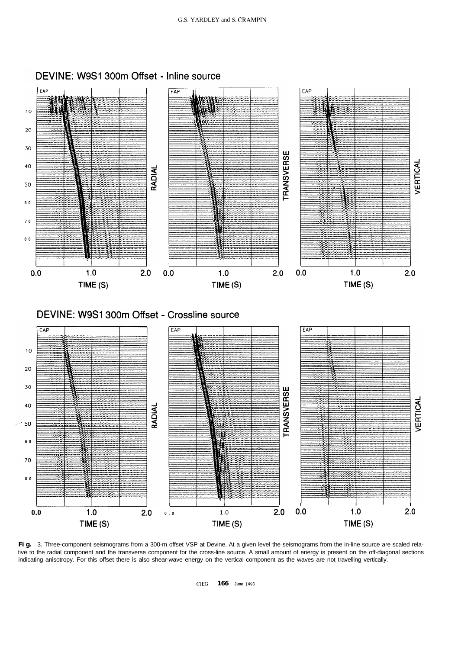

DEVINE: W9S1 300m Offset - Inline source

**Fig.** 3. Three-component seismograms from a 300-m offset VSP at Devine. At a given level the seismograms from the in-line source are scaled relative to the radial component and the transverse component for the cross-line source. A small amount of energy is present on the off-diagonal sections indicating anisotropy. For this offset there is also shear-wave energy on the vertical component as the waves are not travelling vertically.

CJEG **166 June 1993**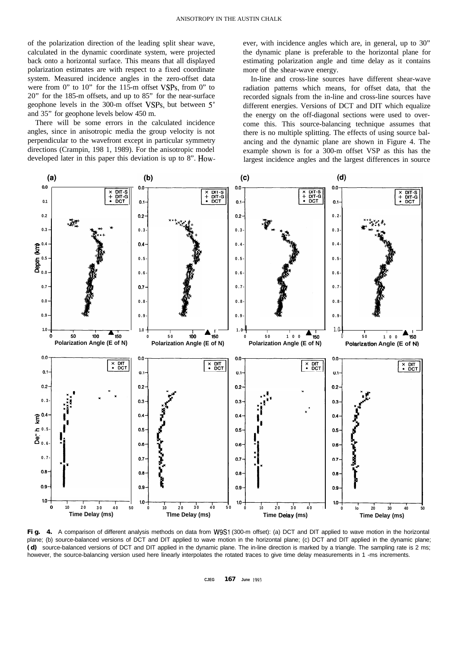of the polarization direction of the leading split shear wave, calculated in the dynamic coordinate system, were projected back onto a horizontal surface. This means that all displayed polarization estimates are with respect to a fixed coordinate system. Measured incidence angles in the zero-offset data were from 0" to 10" for the 115-m offset VSPs, from 0" to 20" for the 185-m offsets, and up to 85" for the near-surface geophone levels in the 300-m offset VSPs, but between 5" and 35" for geophone levels below 450 m.

There will be some errors in the calculated incidence angles, since in anisotropic media the group velocity is not perpendicular to the wavefront except in particular symmetry directions (Crampin, 198 1, 1989). For the anisotropic model developed later in this paper this deviation is up to 8". However, with incidence angles which are, in general, up to 30" the dynamic plane is preferable to the horizontal plane for estimating polarization angle and time delay as it contains more of the shear-wave energy.

In-line and cross-line sources have different shear-wave radiation patterns which means, for offset data, that the recorded signals from the in-line and cross-line sources have different energies. Versions of DCT and DIT which equalize the energy on the off-diagonal sections were used to overcome this. This source-balancing technique assumes that there is no multiple splitting. The effects of using source balancing and the dynamic plane are shown in Figure 4. The example shown is for a 300-m offset VSP as this has the largest incidence angles and the largest differences in source



Fig. 4. A comparison of different analysis methods on data from W9S1 (300-m offset): (a) DCT and DIT applied to wave motion in the horizontal plane; (b) source-balanced versions of DCT and DIT applied to wave motion in the horizontal plane; (c) DCT and DIT applied in the dynamic plane; **(d)** source-balanced versions of DCT and DIT applied in the dynamic plane. The in-line direction is marked by a triangle. The sampling rate is 2 ms; however, the source-balancing version used here linearly interpolates the rotated traces to give time delay measurements in 1 -ms increments.

**CJEG 167 June 1993**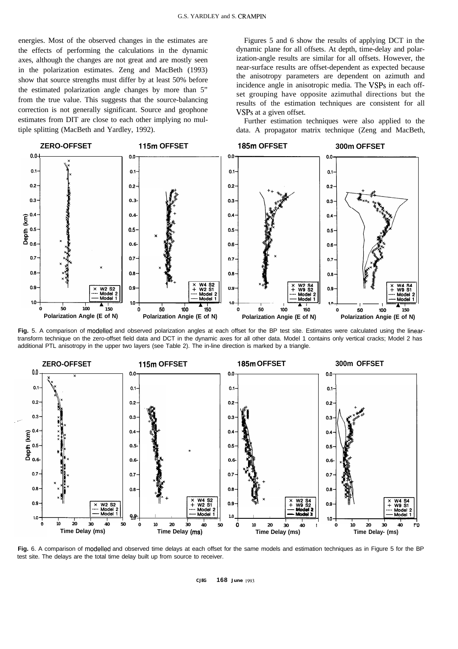energies. Most of the observed changes in the estimates are the effects of performing the calculations in the dynamic axes, although the changes are not great and are mostly seen in the polarization estimates. Zeng and MacBeth (1993) show that source strengths must differ by at least 50% before the estimated polarization angle changes by more than 5" from the true value. This suggests that the source-balancing correction is not generally significant. Source and geophone estimates from DIT are close to each other implying no multiple splitting (MacBeth and Yardley, 1992).

Figures 5 and 6 show the results of applying DCT in the dynamic plane for all offsets. At depth, time-delay and polarization-angle results are similar for all offsets. However, the near-surface results are offset-dependent as expected because the anisotropy parameters are dependent on azimuth and incidence angle in anisotropic media. The VSPs in each offset grouping have opposite azimuthal directions but the results of the estimation techniques are consistent for all VSPs at a given offset.

Further estimation techniques were also applied to the data. A propagator matrix technique (Zeng and MacBeth,



**Fig.** 5. A comparison of modelled and observed polarization angles at each offset for the BP test site. Estimates were calculated using the lineartransform technique on the zero-offset field data and DCT in the dynamic axes for all other data. Model 1 contains only vertical cracks; Model 2 has additional PTL anisotropy in the upper two layers (see Table 2). The in-line direction is marked by a triangle.



**Fig.** 6. A comparison of modelled and observed time delays at each offset for the same models and estimation techniques as in Figure 5 for the BP test site. The delays are the total time delay built up from source to receiver.

**CJEG 168 June 1993**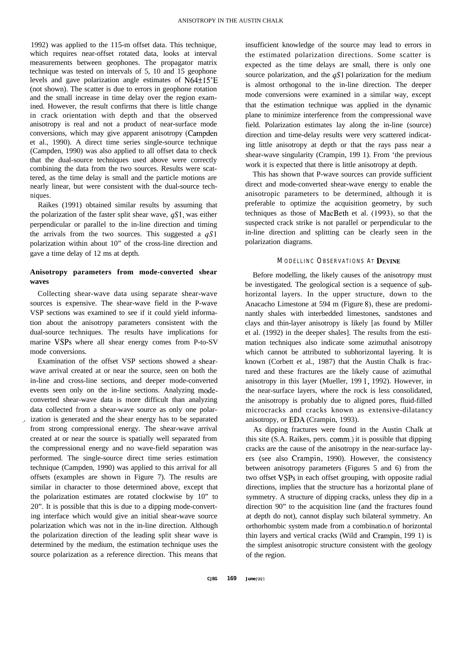1992) was applied to the 115-m offset data. This technique, which requires near-offset rotated data, looks at interval measurements between geophones. The propagator matrix technique was tested on intervals of 5, 10 and 15 geophone levels and gave polarization angle estimates of  $N64\pm15^\circ E$ (not shown). The scatter is due to errors in geophone rotation and the small increase in time delay over the region examined. However, the result confirms that there is little change in crack orientation with depth and that the observed anisotropy is real and not a product of near-surface mode conversions, which may give apparent anisotropy (Campden et al., 1990). A direct time series single-source technique (Campden, 1990) was also applied to all offset data to check that the dual-source techniques used above were correctly combining the data from the two sources. Results were scattered, as the time delay is small and the particle motions are nearly linear, but were consistent with the dual-source techniques.

Raikes (1991) obtained similar results by assuming that the polarization of the faster split shear wave,  $qS1$ , was either perpendicular or parallel to the in-line direction and timing the arrivals from the two sources. This suggested a  $qS1$ polarization within about 10" of the cross-line direction and gave a time delay of 12 ms at depth.

# **Anisotropy parameters from mode-converted shear waves**

Collecting shear-wave data using separate shear-wave sources is expensive. The shear-wave field in the P-wave VSP sections was examined to see if it could yield information about the anisotropy parameters consistent with the dual-source techniques. The results have implications for marine VSPs where all shear energy comes from P-to-SV mode conversions.

Examination of the offset VSP sections showed a shearwave arrival created at or near the source, seen on both the in-line and cross-line sections, and deeper mode-converted events seen only on the in-line sections. Analyzing modeconverted shear-wave data is more difficult than analyzing data collected from a shear-wave source as only one polar ization is generated and the shear energy has to be separated from strong compressional energy. The shear-wave arrival created at or near the source is spatially well separated from the compressional energy and no wave-field separation was performed. The single-source direct time series estimation technique (Campden, 1990) was applied to this arrival for all offsets (examples are shown in Figure 7). The results are similar in character to those determined above, except that the polarization estimates are rotated clockwise by 10" to 20". It is possible that this is due to a dipping mode-converting interface which would give an initial shear-wave source polarization which was not in the in-line direction. Although the polarization direction of the leading split shear wave is determined by the medium, the estimation technique uses the source polarization as a reference direction. This means that

insufficient knowledge of the source may lead to errors in the estimated polarization directions. Some scatter is expected as the time delays are small, there is only one source polarization, and the  $qS1$  polarization for the medium is almost orthogonal to the in-line direction. The deeper mode conversions were examined in a similar way, except that the estimation technique was applied in the dynamic plane to minimize interference from the compressional wave field. Polarization estimates lay along the in-line (source) direction and time-delay results were very scattered indicating little anisotropy at depth or that the rays pass near a shear-wave singularity (Crampin, 199 1). From 'the previous work it is expected that there is little anisotropy at depth.

This has shown that P-wave sources can provide sufficient direct and mode-converted shear-wave energy to enable the anisotropic parameters to be determined, although it is preferable to optimize the acquisition geometry, by such techniques as those of MacBeth et al. (1993), so that the suspected crack strike is not parallel or perpendicular to the in-line direction and splitting can be clearly seen in the polarization diagrams.

# **MODELLINC OBSERVATIONS AT DEVINE**

Before modelling, the likely causes of the anisotropy must be investigated. The geological section is a sequence of subhorizontal layers. In the upper structure, down to the Anacacho Limestone at 594 m (Figure S), these are predominantly shales with interbedded limestones, sandstones and clays and thin-layer anisotropy is likely [as found by Miller et al. (1992) in the deeper shales]. The results from the estimation techniques also indicate some azimuthal anisotropy which cannot be attributed to subhorizontal layering. It is known (Corbett et al., 1987) that the Austin Chalk is fractured and these fractures are the likely cause of azimuthal anisotropy in this layer (Mueller, 199 1, 1992). However, in the near-surface layers, where the rock is less consolidated, the anisotropy is probably due to aligned pores, fluid-filled microcracks and cracks known as extensive-dilatancy anisotropy, or EDA (Crampin, 1993).

As dipping fractures were found in the Austin Chalk at this site (S.A. Raikes, pers. comm.) it is possible that dipping cracks are the cause of the anisotropy in the near-surface layers (see also Crampin, 1990). However, the consistency between anisotropy parameters (Figures 5 and 6) from the two offset VSPs in each offset grouping, with opposite radial directions, implies that the structure has a horizontal plane of symmetry. A structure of dipping cracks, unless they dip in a direction 90" to the acquisition line (and the fractures found at depth do not), cannot display such bilateral symmetry. An orthorhombic system made from a combinatio.n of horizontal thin layers and vertical cracks (Wild and Crampin, 199 1) is the simplest anisotropic structure consistent with the geology of the region.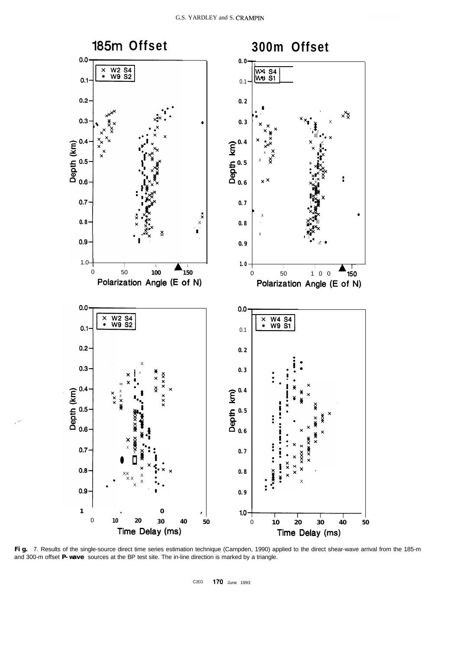

**Fig.** 7. Results of the single-source direct time series estimation technique (Campden, 1990) applied to the direct shear-wave arrival from the 185-m and 300-m offset **P-wave** sources at the BP test site. The in-line direction is marked by a triangle.

CJEG 170 June 1993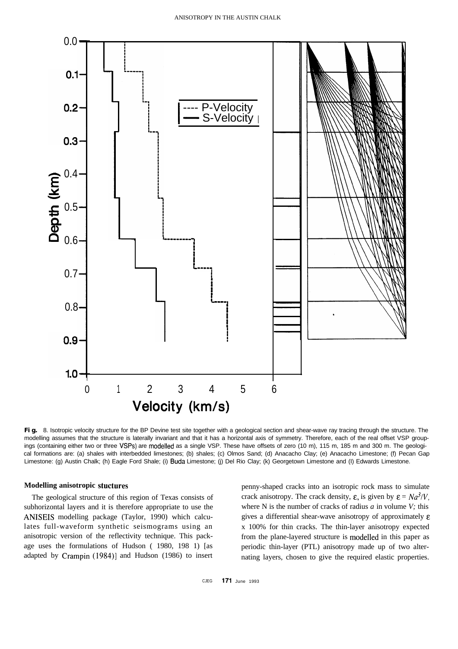

**Fig.** 8. Isotropic velocity structure for the BP Devine test site together with a geological section and shear-wave ray tracing through the structure. The modelling assumes that the structure is laterally invariant and that it has a horizontal axis of symmetry. Therefore, each of the real offset VSP groupings (containing either two or three VSPs) are modelled as a single VSP. These have offsets of zero (10 m), 115 m, 185 m and 300 m. The geological formations are: (a) shales with interbedded limestones; (b) shales; (c) Olmos Sand; (d) Anacacho Clay; (e) Anacacho Limestone; (f) Pecan Gap Limestone: (g) Austin Chalk; (h) Eagle Ford Shale; (i) Buda Limestone; (j) Del Rio Clay; (k) Georgetown Limestone and (I) Edwards Limestone.

## **Modelling anisotropic stuctures**

The geological structure of this region of Texas consists of subhorizontal layers and it is therefore appropriate to use the ANISEIS modelling package (Taylor, 1990) which calculates full-waveform synthetic seismograms using an anisotropic version of the reflectivity technique. This package uses the formulations of Hudson ( 1980, 198 1) [as adapted by Crampin (1984)] and Hudson (1986) to insert

penny-shaped cracks into an isotropic rock mass to simulate crack anisotropy. The crack density,  $\varepsilon$ , is given by  $\varepsilon = Na^{3}/V$ , where N is the number of cracks of radius *a* in volume *V;* this gives a differential shear-wave anisotropy of approximately  $\varepsilon$ x 100% for thin cracks. The thin-layer anisotropy expected from the plane-layered structure is modelled in this paper as periodic thin-layer (PTL) anisotropy made up of two alternating layers, chosen to give the required elastic properties.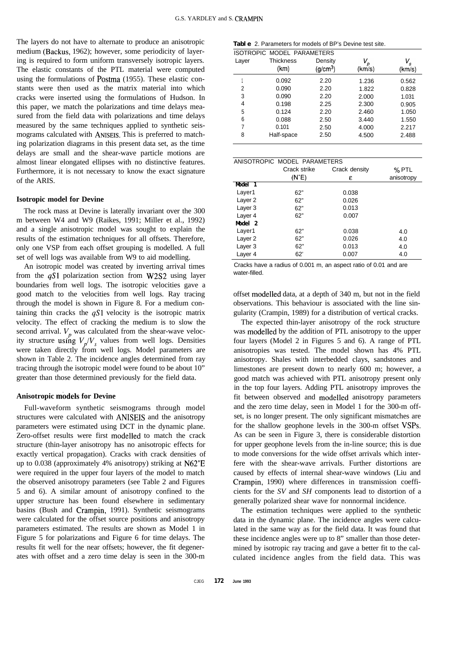The layers do not have to alternate to produce an anisotropic medium (Backus, 1962); however, some periodicity of layering is required to form uniform transversely isotropic layers. The elastic constants of the PTL material were computed using the formulations of Postma (1955). These elastic constants were then used as the matrix material into which cracks were inserted using the formulations of Hudson. In this paper, we match the polarizations and time delays measured from the field data with polarizations and time delays measured by the same techniques applied to synthetic seismograms calculated with **ANISEIS.** This is preferred to matching polarization diagrams in this present data set, as the time delays are small and the shear-wave particle motions are almost linear elongated ellipses with no distinctive features. Furthermore, it is not necessary to know the exact signature of the ARIS.

## **Isotropic model for Devine**

The rock mass at Devine is laterally invariant over the 300 m between W4 and W9 (Raikes, 1991; Miller et al., 1992) and a single anisotropic model was sought to explain the results of the estimation techniques for all offsets. Therefore, only one VSP from each offset grouping is modelled. A full set of well logs was available from W9 to aid modelling.

An isotropic model was created by inverting arrival times from the  $qS1$  polarization section from W2S2 using layer boundaries from well logs. The isotropic velocities gave a good match to the velocities from well logs. Ray tracing through the model is shown in Figure 8. For a medium containing thin cracks the  $qS1$  velocity is the isotropic matrix velocity. The effect of cracking the medium is to slow the second arrival.  $V_p$  was calculated from the shear-wave velocity structure using  $V_p/V_s$  values from well logs. Densities were taken directly from well logs. Model parameters are shown in Table 2. The incidence angles determined from ray tracing through the isotropic model were found to be about 10" greater than those determined previously for the field data.

#### **Anisotropic models for Devine**

Full-waveform synthetic seismograms through model structures were calculated with ANISEIS and the anisotropy parameters were estimated using DCT in the dynamic plane. Zero-offset results were first modelled to match the crack structure (thin-layer anisotropy has no anisotropic effects for exactly vertical propagation). Cracks with crack densities of up to 0.038 (approximately 4% anisotropy) striking at N62"E were required in the upper four layers of the model to match the observed anisotropy parameters (see Table 2 and Figures 5 and 6). A similar amount of anisotropy confined to the upper structure has been found elsewhere in sedimentary basins (Bush and Crampin, 1991). Synthetic seismograms were calculated for the offset source positions and anisotropy parameters estimated. The results are shown as Model 1 in Figure 5 for polarizations and Figure 6 for time delays. The results fit well for the near offsets; however, the fit degenerates with offset and a zero time delay is seen in the 300-m

**Table** 2. Parameters for models of BP's Devine test site.

|       | <b>ISOTROPIC MODEL PARAMETERS</b> |                      |        |                |
|-------|-----------------------------------|----------------------|--------|----------------|
| Layer | <b>Thickness</b>                  | Density              | D      | v <sub>s</sub> |
|       | (km)                              | (g/cm <sup>3</sup> ) | (km/s) | (km/s)         |
|       | 0.092                             | 2.20                 | 1.236  | 0.562          |
| 2     | 0.090                             | 2.20                 | 1.822  | 0.828          |
| 3     | 0.090                             | 2.20                 | 2.000  | 1.031          |
| 4     | 0.198                             | 2.25                 | 2.300  | 0.905          |
| 5     | 0.124                             | 2.20                 | 2.460  | 1.050          |
| 6     | 0.088                             | 2.50                 | 3.440  | 1.550          |
| 7     | 0.101                             | 2.50                 | 4.000  | 2.217          |
| 8     | Half-space                        | 2.50                 | 4.500  | 2.488          |

|                    | ANISOTROPIC MODEL PARAMETERS |               |            |  |
|--------------------|------------------------------|---------------|------------|--|
|                    | Crack strike                 | Crack density | % PTL      |  |
|                    | (N°E)                        | ε             | anisotropy |  |
| Mbdel 1            |                              |               |            |  |
| Layer1             | 62"                          | 0.038         |            |  |
| Layer <sub>2</sub> | 62"                          | 0.026         |            |  |
| Layer 3            | 62"                          | 0.013         |            |  |
| Layer 4            | 62"                          | 0.007         |            |  |
| Model 2            |                              |               |            |  |
| Layer1             | 62"                          | 0.038         | 4.0        |  |
| Layer <sub>2</sub> | 62"                          | 0.026         | 4.0        |  |
| Layer 3            | 62"                          | 0.013         | 4.0        |  |
| Layer 4            | 62'                          | 0.007         | 4.0        |  |

Cracks have a radius of 0.001 m, an aspect ratio of 0.01 and are water-filled.

offset modelled data, at a depth of 340 m, but not in the field observations. This behaviour is associated with the line singularity (Crampin, 1989) for a distribution of vertical cracks.

The expected thin-layer anisotropy of the rock structure was modelled by the addition of PTL anisotropy to the upper four layers (Model 2 in Figures 5 and 6). A range of PTL anisotropies was tested. The model shown has 4% PTL anisotropy. Shales with interbedded clays, sandstones and limestones are present down to nearly 600 m; however, a good match was achieved with PTL anisotropy present only in the top four layers. Adding PTL anisotropy improves the fit between observed and modelled anisotropy parameters and the zero time delay, seen in Model 1 for the 300-m offset, is no longer present. The only significant mismatches are for the shallow geophone levels in the 300-m offset VSPs. As can be seen in Figure 3, there is considerable distortion for upper geophone levels from the in-line source; this is due to mode conversions for the wide offset arrivals which interfere with the shear-wave arrivals. Further distortions are caused by effects of internal shear-wave windows (Liu and Crampin, 1990) where differences in transmission coefficients for the *SV* and *SH* components lead to distortion of a generally polarized shear wave for nonnormal incidence.

The estimation techniques were applied to the synthetic data in the dynamic plane. The incidence angles were calculated in the same way as for the field data. It was found that these incidence angles were up to 8" smaller than those determined by isotropic ray tracing and gave a better fit to the calculated incidence angles from the field data. This was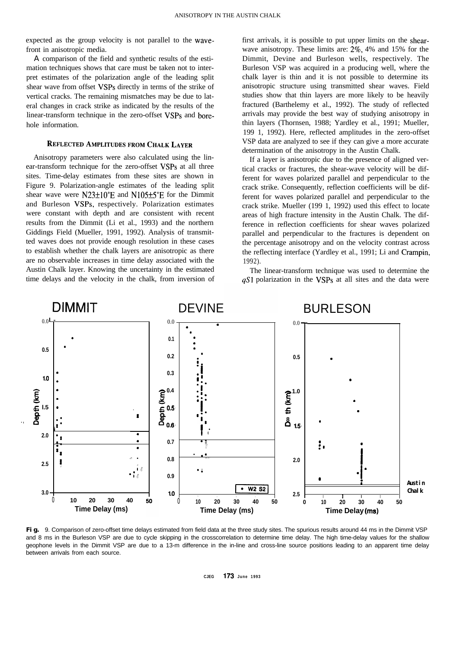expected as the group velocity is not parallel to the wavefront in anisotropic media.

A comparison of the field and synthetic results of the estimation techniques shows that care must be taken not to interpret estimates of the polarization angle of the leading split shear wave from offset VSPs directly in terms of the strike of vertical cracks. The remaining mismatches may be due to lateral changes in crack strike as indicated by the results of the linear-transform technique in the zero-offset VSPs and borehole information.

# **REFLECTED AMPLITUDES FROM CHALK LAYER**

Anisotropy parameters were also calculated using the linear-transform technique for the zero-offset VSPs at all three sites. Time-delay estimates from these sites are shown in Figure 9. Polarization-angle estimates of the leading split shear wave were  $N23\pm10^\circ E$  and  $N105\pm5^\circ E$  for the Dimmit and Burleson VSPs, respectively. Polarization estimates were constant with depth and are consistent with recent results from the Dimmit (Li et al., 1993) and the northern Giddings Field (Mueller, 1991, 1992). Analysis of transmitted waves does not provide enough resolution in these cases to establish whether the chalk layers are anisotropic as there are no observable increases in time delay associated with the Austin Chalk layer. Knowing the uncertainty in the estimated time delays and the velocity in the chalk, from inversion of first arrivals, it is possible to put upper limits on the shearwave anisotropy. These limits are: 2%, 4% and 15% for the Dimmit, Devine and Burleson wells, respectively. The Burleson VSP was acquired in a producing well, where the chalk layer is thin and it is not possible to determine its anisotropic structure using transmitted shear waves. Field studies show that thin layers are more likely to be heavily fractured (Barthelemy et al., 1992). The study of reflected arrivals may provide the best way of studying anisotropy in thin layers (Thornsen, 1988; Yardley et al., 1991; Mueller, 199 1, 1992). Here, reflected amplitudes in the zero-offset VSP data are analyzed to see if they can give a more accurate determination of the anisotropy in the Austin Chalk.

If a layer is anisotropic due to the presence of aligned vertical cracks or fractures, the shear-wave velocity will be different for waves polarized parallel and perpendicular to the crack strike. Consequently, reflection coefficients will be different for waves polarized parallel and perpendicular to the crack strike. Mueller (199 1, 1992) used this effect to locate areas of high fracture intensity in the Austin Chalk. The difference in reflection coefficients for shear waves polarized parallel and perpendicular to the fractures is dependent on the percentage anisotropy and on the velocity contrast across the reflecting interface (Yardley et al., 1991; Li and Crampin, 1992).

The linear-transform technique was used to determine the  $qS1$  polarization in the VSPs at all sites and the data were



**Fig.** 9. Comparison of zero-offset time delays estimated from field data at the three study sites. The spurious results around 44 ms in the Dimmit VSP and 8 ms in the Burleson VSP are due to cycle skipping in the crosscorrelation to determine time delay. The high time-delay values for the shallow geophone levels in the Dimmit VSP are due to a 13-m difference in the in-line and cross-line source positions leading to an apparent time delay between arrivals from each source.

**CJEG** 173 **June 1993**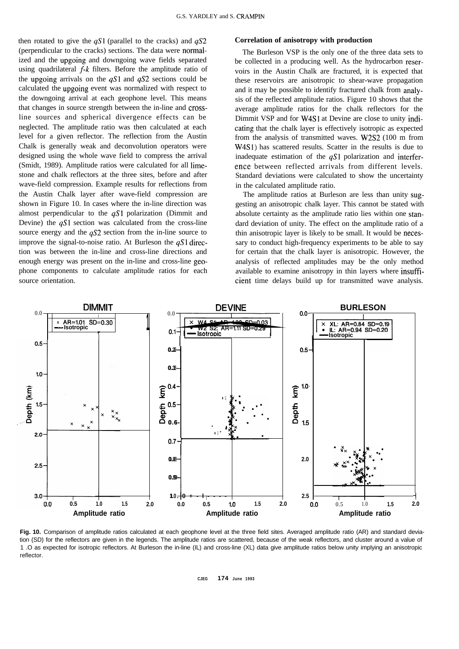then rotated to give the  $qS1$  (parallel to the cracks) and  $qS2$  **Correlation of anisotropy with production** (perpendicular to the cracks) sections. The data were normalized and the upgoing and downgoing wave fields separated using quadrilateral f-k filters. Before the amplitude ratio of the upgoing arrivals on the  $qS1$  and  $qS2$  sections could be calculated the upgoing event was normalized with respect to the downgoing arrival at each geophone level. This means that changes in source strength between the in-line and crossline sources and spherical divergence effects can be neglected. The amplitude ratio was then calculated at each level for a given reflector. The reflection from the Austin Chalk is generally weak and deconvolution operators were designed using the whole wave field to compress the arrival (Smidt, 1989). Amplitude ratios were calculated for all limestone and chalk reflectors at the three sites, before and after wave-field compression. Example results for reflections from the Austin Chalk layer after wave-field compression are shown in Figure 10. In cases where the in-line direction was almost perpendicular to the  $qS1$  polarization (Dimmit and Devine) the  $qS1$  section was calculated from the cross-line source energy and the  $qS2$  section from the in-line source to improve the signal-to-noise ratio. At Burleson the  $qS1$  direction was between the in-line and cross-line directions and enough energy was present on the in-line and cross-line geophone components to calculate amplitude ratios for each

The Burleson VSP is the only one of the three data sets to be collected in a producing well. As the hydrocarbon reservoirs in the Austin Chalk are fractured, it is expected that these reservoirs are anisotropic to shear-wave propagation and it may be possible to identify fractured chalk from analysis of the reflected amplitude ratios. Figure 10 shows that the average amplitude ratios for the chalk reflectors for the Dimmit VSP and for W4Sl at Devine are close to unity indieating that the chalk layer is effectively isotropic as expected from the analysis of transmitted waves. W2S2 (100 m from W4Sl) has scattered results. Scatter in the results is due to inadequate estimation of the  $qS1$  polarization and interference between reflected arrivals from different levels. Standard deviations were calculated to show the uncertainty in the calculated amplitude ratio.

The amplitude ratios at Burleson are less than unity suggesting an anisotropic chalk layer. This cannot be stated with absolute certainty as the amplitude ratio lies within one standard deviation of unity. The effect on the amplitude ratio of a thin anisotropic layer is likely to be small. It would be necessary to conduct high-frequency experiments to be able to say for certain that the chalk layer is anisotropic. However, the analysis of reflected amplitudes may be the only method available to examine anisotropy in thin layers where insuffisource orientation. The cient time delays build up for transmitted wave analysis.



Fig. 10. Comparison of amplitude ratios calculated at each geophone level at the three field sites. Averaged amplitude ratio (AR) and standard deviation (SD) for the reflectors are given in the legends. The amplitude ratios are scattered, because of the weak reflectors, and cluster around a value of 1 .O as expected for isotropic reflectors. At Burleson the in-line (IL) and cross-line (XL) data give amplitude ratios below unity implying an anisotropic reflector.

**CJEG 174 June 1993**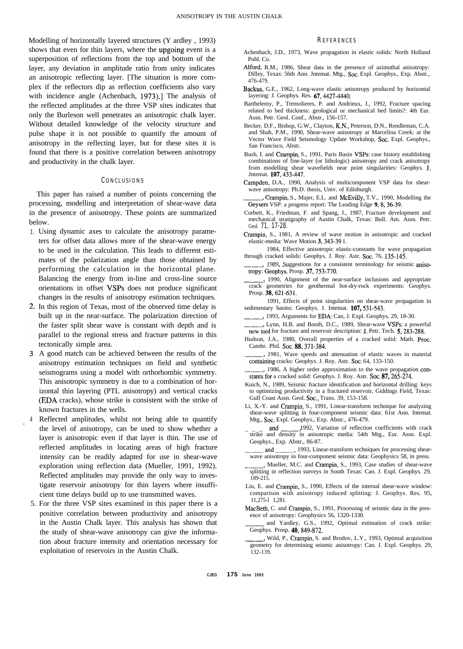Modelling of horizontally layered structures (Y ardley , 1993) shows that even for thin layers, where the upgoing event is a superposition of reflections from the top and bottom of the layer, any deviation in amplitude ratio from unity indicates an anisotropic reflecting layer. [The situation is more complex if the reflectors dip as reflection coefficients also vary with incidence angle (Achenbach, 1973).] The analysis of the reflected amplitudes at the three VSP sites indicates that only the Burleson well penetrates an anisotropic chalk layer. Without detailed knowledge of the velocity structure and pulse shape it is not possible to quantify the amount of anisotropy in the reflecting layer, but for these sites it is found that there is a positive correlation between anisotropy and productivity in the chalk layer.

# **CONCLUSIONS**

This paper has raised a number of points concerning the processing, modelling and interpretation of shear-wave data in the presence of anisotropy. These points are summarized below.

- 1. Using dynamic axes to calculate the anisotropy parameters for offset data allows more of the shear-wave energy to be used in the calculation. This leads to different estimates of the polarization angle than those obtained by performing the calculation in the horizontal plane. Balancing the energy from in-line and cross-line source orientations in offset VSPs does not produce significant changes in the results of anisotropy estimation techniques.
- 2. In this region of Texas, most of the observed time delay is built up in the near-surface. The polarization direction of the faster split shear wave is constant with depth and is parallel to the regional stress and fracture patterns in this tectonically simple area.
- A good match can be achieved between the results of the anisotropy estimation techniques on field and synthetic seismograms using a model with orthorhombic symmetry. This anisotropic symmetry is due to a combination of horizontal thin layering (PTL anisotropy) and vertical cracks (EDA cracks), whose strike is consistent with the strike of known fractures in the wells.
- 4 Reflected amplitudes, whilst not being able to quantify the level of anisotropy, can be used to show whether a layer is anisotropic even if that layer is thin. The use of reflected amplitudes in locating areas of high fracture intensity can be readily adapted for use in shear-wave exploration using reflection data (Mueller, 1991, 1992). Reflected amplitudes may provide the only way to investigate reservoir anisotropy for thin layers where insufficient time delays build up to use transmitted waves.

.

5. For the three VSP sites examined in this paper there is a positive correlation between productivity and anisotropy in the Austin Chalk layer. This analysis has shown that the study of shear-wave anisotropy can give the information about fracture intensity and orientation necessary for exploitation of reservoirs in the Austin Chalk.

#### **REFERENCES**

- Achenbach, J.D., 1973, Wave propagation in elastic solids: North Holland Publ. Co.
- Alford, R.M., 1986, Shear data in the presence of azimuthal anisotropy: Dilley, Texas: 56th Ann. Jntemat. Mtg., Sot. Expl. Geophys., Exp. Abstr., 476-479.
- Backus, G.E., 1962, Long-wave elastic anisotropy produced by horizontal layering: J. Geophys. Res. 67,4427-4440.
- Barthelemy, P., Tremolieres, P. and Andrieux, J., 1992, Fracture spacing related to bed thickness: geological or mechanical bed limits?: 4th Eur. Assn. Petr. Geol. Conf., Abstr., 156-157.
- Becker, D.F., Bishop, G.W., Clayton, K.N., Peterson, D.N., Rendleman, C.A. and Shah, P.M., 1990, Shear-wave anisotropy at Marcelina Creek: at the Vector Wave Field Seismology Update Workshop, Soc. Expl. Geophys., San Francisco, Abstr.
- Bush, I. and Crampin, S., 1991, Paris Basin VSPs: case history establishing combinations of fine-layer (or lithologic) anisotropy and crack anisotropy from modelling shear wavefields near point singularities: Geophys. J. Jntemat. 107,433-447.
- Campden, D.A., 1990, Analysis of multicomponent VSP data for shearwave anisotropy: Ph.D. thesis, Univ. of Edinburgh.
- Crampin, S., Majer, E.L. and McEvilly, T.V., 1990, Modelling the Geysers VSP: a progress report: The Leading Edge 9, 8, 36-39.
- Corbett, K., Friedman, F. and Spang, J., 1987, Fracture development and mechanical stratigraphy of Austin Chalk, Texas: Bull. Am. Assn. Petr. Geol. **71, 17-28.**
- Crampin, S., 1981, A review of wave motion in anisotropic and cracked elastic-media: Wave Motion 3, 343-39 1.
- 1984, Effective anisotropic elastic-constants for wave propagation through cracked solids: Geophys. J. Roy. Astr. Soc. 76, 135-145.
- 1989, Suggestions for a consistent terminology for seismic anisotropy: Geophys. Prosp. 37, 753-770.
- , 1990, Alignment of the near-surface inclusions and appropriate crack geometries for geothermal hot-dry-rock experiments: Geophys. Prosp. 38, 621-631.
- 1991, Effects of point singularities on shear-wave propagation in sedimentary basins: Geophys. J. Intemat. 107,531-543.
	- -,1993, Arguments for EDA: Can, J. Expl. Geophys. 29, 18-30.
- Lynn, H.B. and Booth, D.C., 1989, Shear-wave VSPs: a powerful new tool for fracture and reservoir description: J. Petr. Tech. 5, 283-288.
- Hudson, J.A., 1980, Overall properties of a cracked solid: Math. Proc. Cambr. Phil. Soc. 88, 371-384.
- 1981, Wave speeds and attenuation of elastic waves in material containing cracks: Geophys. J. Roy. Astr. Soc. 64, 133-150.
- 1986, A higher order approximation to the wave propagation constants for a cracked solid: Geophys. J. Roy. Astr. Soc. 87, 265-274.
- Kuich, N., 1989, Seismic fracture identification and horizontal drilling: keys to optimizing productivity in a fractured reservoir, Giddings Field, Texas: Gulf Coast Assn. Geol. Sot., Trans. 39, 153-158.
- Li, X.-Y. and Crampin, S., 1991, Linear-transform technique for analyzing<br>shear-wave splitting in four-component seismic data: 61st Ann. Internat.<br>Mtg., Soc. Expl. Geophys., Exp. Abstr., 476-479.<br>and 1992, Variation of ref shear-wave splitting in four-component seismic data: 61st Ann. Intemat. Mtg., Sot. Expl. Geophys., Exp. Abstr., 476-479.
- strike and density in anisotropic media: 54th Mtg., Eur. Assn. Expl. Geophys., Exp. Abstr., 86-87.
- and 1993, Linear-transform techniques for processing shearwave anisotropy in four-component seismic data: Geophysics 58, in press.
- , Mueller, M.C. and Crampin, S., 1993, Case studies of shear-wave splitting in reflection surveys in South Texas: Can. J. Expl. Geophys. 29, 189-215.
- Liu, E. and Crampin, S., 1990, Effects of the internal shear-wave window: comparison with anisotropy induced splitting: J. Geophys. Res. 95, 11,275-l 1,281.
- MacBeth, C. and Crampin, S., 1991, Processing of seismic data in the presence of anisotropy: Geophysics 56, 1320-1330.
- and Yardley, G.S., 1992, Optimal estimation of crack strike: Geophys. Prosp. 40,849-872.
- , Wild, P., Crampin, S. and Brodov, L.Y., 1993, Optimal acquisition geometry for determining seismic anisotropy: Can. J. Expl. Geophys. 29, 132-139.

**CJEG 175 June 1993**